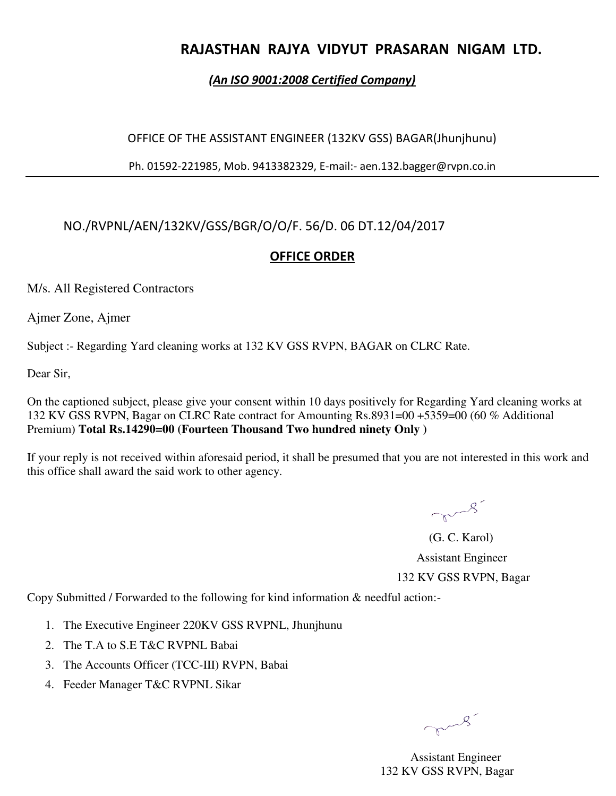## **RAJASTHAN RAJYA VIDYUT PRASARAN NIGAM LTD.**

#### *(An ISO 9001:2008 Certified Company)*

#### OFFICE OF THE ASSISTANT ENGINEER (132KV GSS) BAGAR(Jhunjhunu)

Ph. 01592-221985, Mob. 9413382329, E-mail:- aen.132.bagger@rvpn.co.in

### NO./RVPNL/AEN/132KV/GSS/BGR/O/O/F. 56/D. 06 DT.12/04/2017

#### **OFFICE ORDER**

M/s. All Registered Contractors

Ajmer Zone, Ajmer

Subject :- Regarding Yard cleaning works at 132 KV GSS RVPN, BAGAR on CLRC Rate.

Dear Sir,

On the captioned subject, please give your consent within 10 days positively for Regarding Yard cleaning works at 132 KV GSS RVPN, Bagar on CLRC Rate contract for Amounting Rs.8931=00 +5359=00 (60 % Additional Premium) **Total Rs.14290=00 (Fourteen Thousand Two hundred ninety Only )**

If your reply is not received within aforesaid period, it shall be presumed that you are not interested in this work and this office shall award the said work to other agency.

mars

 (G. C. Karol) Assistant Engineer 132 KV GSS RVPN, Bagar

Copy Submitted / Forwarded to the following for kind information & needful action:-

- 1. The Executive Engineer 220KV GSS RVPNL, Jhunjhunu
- 2. The T.A to S.E T&C RVPNL Babai
- 3. The Accounts Officer (TCC-III) RVPN, Babai
- 4. Feeder Manager T&C RVPNL Sikar

mars

 Assistant Engineer 132 KV GSS RVPN, Bagar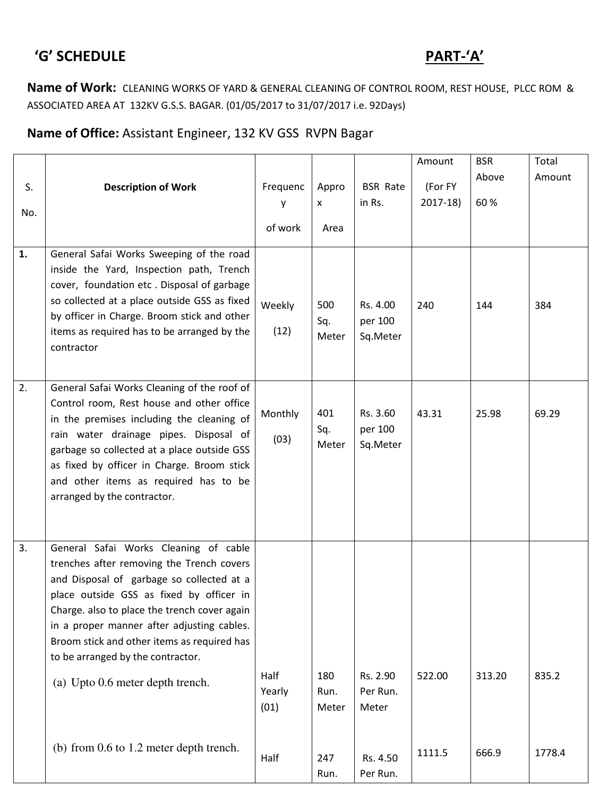# $\overline{PART-A'}$

**Name of Work:** CLEANING WORKS OF YARD & GENERAL CLEANING OF CONTROL ROOM, REST HOUSE, PLCC ROM & ASSOCIATED AREA AT 132KV G.S.S. BAGAR. (01/05/2017 to 31/07/2017 i.e. 92Days)

### **Name of Office:** Assistant Engineer, 132 KV GSS RVPN Bagar

|     |                                                                                                                                                                                                                                                                                                                                                               |                        |                      |                                 | Amount    | <b>BSR</b> | Total  |
|-----|---------------------------------------------------------------------------------------------------------------------------------------------------------------------------------------------------------------------------------------------------------------------------------------------------------------------------------------------------------------|------------------------|----------------------|---------------------------------|-----------|------------|--------|
|     |                                                                                                                                                                                                                                                                                                                                                               |                        |                      |                                 |           | Above      | Amount |
| S.  | <b>Description of Work</b>                                                                                                                                                                                                                                                                                                                                    | Frequenc               | Appro                | <b>BSR Rate</b>                 | (For FY   |            |        |
| No. |                                                                                                                                                                                                                                                                                                                                                               | у                      | X                    | in Rs.                          | $2017-18$ | 60%        |        |
|     |                                                                                                                                                                                                                                                                                                                                                               | of work                | Area                 |                                 |           |            |        |
| 1.  | General Safai Works Sweeping of the road                                                                                                                                                                                                                                                                                                                      |                        |                      |                                 |           |            |        |
|     | inside the Yard, Inspection path, Trench<br>cover, foundation etc. Disposal of garbage<br>so collected at a place outside GSS as fixed<br>by officer in Charge. Broom stick and other<br>items as required has to be arranged by the<br>contractor                                                                                                            | Weekly<br>(12)         | 500<br>Sq.<br>Meter  | Rs. 4.00<br>per 100<br>Sq.Meter | 240       | 144        | 384    |
| 2.  | General Safai Works Cleaning of the roof of<br>Control room, Rest house and other office<br>in the premises including the cleaning of<br>rain water drainage pipes. Disposal of<br>garbage so collected at a place outside GSS<br>as fixed by officer in Charge. Broom stick<br>and other items as required has to be<br>arranged by the contractor.          | Monthly<br>(03)        | 401<br>Sq.<br>Meter  | Rs. 3.60<br>per 100<br>Sq.Meter | 43.31     | 25.98      | 69.29  |
| 3.  | General Safai Works Cleaning of cable<br>trenches after removing the Trench covers<br>and Disposal of garbage so collected at a<br>place outside GSS as fixed by officer in<br>Charge. also to place the trench cover again<br>in a proper manner after adjusting cables.<br>Broom stick and other items as required has<br>to be arranged by the contractor. |                        |                      |                                 |           |            |        |
|     | (a) Upto 0.6 meter depth trench.                                                                                                                                                                                                                                                                                                                              | Half<br>Yearly<br>(01) | 180<br>Run.<br>Meter | Rs. 2.90<br>Per Run.<br>Meter   | 522.00    | 313.20     | 835.2  |
|     | (b) from 0.6 to 1.2 meter depth trench.                                                                                                                                                                                                                                                                                                                       | Half                   | 247<br>Run.          | Rs. 4.50<br>Per Run.            | 1111.5    | 666.9      | 1778.4 |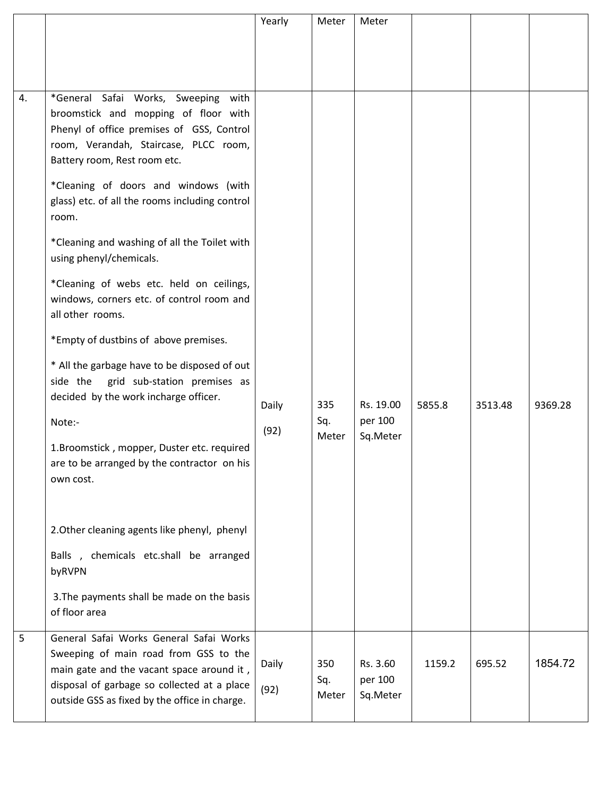|    |                                                                                                                                                                                                                               | Yearly        | Meter               | Meter                           |        |         |         |
|----|-------------------------------------------------------------------------------------------------------------------------------------------------------------------------------------------------------------------------------|---------------|---------------------|---------------------------------|--------|---------|---------|
|    |                                                                                                                                                                                                                               |               |                     |                                 |        |         |         |
|    |                                                                                                                                                                                                                               |               |                     |                                 |        |         |         |
|    |                                                                                                                                                                                                                               |               |                     |                                 |        |         |         |
| 4. | *General Safai Works, Sweeping<br>with<br>broomstick and mopping of floor with<br>Phenyl of office premises of GSS, Control<br>room, Verandah, Staircase, PLCC room,<br>Battery room, Rest room etc.                          |               |                     |                                 |        |         |         |
|    | *Cleaning of doors and windows (with<br>glass) etc. of all the rooms including control<br>room.                                                                                                                               |               |                     |                                 |        |         |         |
|    | *Cleaning and washing of all the Toilet with<br>using phenyl/chemicals.                                                                                                                                                       |               |                     |                                 |        |         |         |
|    | *Cleaning of webs etc. held on ceilings,<br>windows, corners etc. of control room and<br>all other rooms.                                                                                                                     |               |                     |                                 |        |         |         |
|    | *Empty of dustbins of above premises.                                                                                                                                                                                         |               |                     |                                 |        |         |         |
|    | * All the garbage have to be disposed of out<br>side the<br>grid sub-station premises as<br>decided by the work incharge officer.                                                                                             | Daily         | 335                 | Rs. 19.00                       | 5855.8 | 3513.48 | 9369.28 |
|    | Note:-                                                                                                                                                                                                                        | (92)          | Sq.                 | per 100                         |        |         |         |
|    | 1.Broomstick, mopper, Duster etc. required<br>are to be arranged by the contractor on his<br>own cost.                                                                                                                        |               | Meter               | Sq.Meter                        |        |         |         |
|    | 2. Other cleaning agents like phenyl, phenyl                                                                                                                                                                                  |               |                     |                                 |        |         |         |
|    | Balls, chemicals etc.shall be arranged<br>byRVPN                                                                                                                                                                              |               |                     |                                 |        |         |         |
|    | 3. The payments shall be made on the basis<br>of floor area                                                                                                                                                                   |               |                     |                                 |        |         |         |
| 5  | General Safai Works General Safai Works<br>Sweeping of main road from GSS to the<br>main gate and the vacant space around it,<br>disposal of garbage so collected at a place<br>outside GSS as fixed by the office in charge. | Daily<br>(92) | 350<br>Sq.<br>Meter | Rs. 3.60<br>per 100<br>Sq.Meter | 1159.2 | 695.52  | 1854.72 |